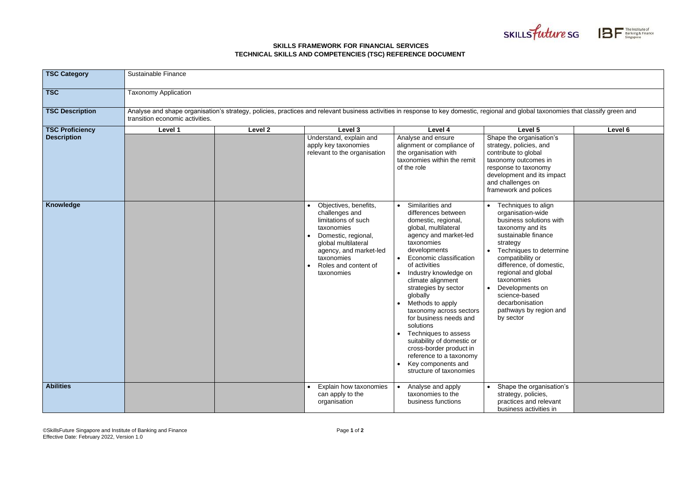©SkillsFuture Singapore and Institute of Banking and Finance Effective Date: February 2022, Version 1.0

## **SKILLS FRAMEWORK FOR FINANCIAL SERVICES TECHNICAL SKILLS AND COMPETENCIES (TSC) REFERENCE DOCUMENT**





## bal taxonomies that classify green and relevant business and relevant business and

| <b>TSC Category</b>    | <b>Sustainable Finance</b>                                                                                                                                                                                           |         |                                                                                                                                                                                                          |                                                                                                                                                                                                                                                                                                                                                                                                                                                                                                                                |                                                                                                                                                                                                                                                                                                                                          |         |  |  |  |
|------------------------|----------------------------------------------------------------------------------------------------------------------------------------------------------------------------------------------------------------------|---------|----------------------------------------------------------------------------------------------------------------------------------------------------------------------------------------------------------|--------------------------------------------------------------------------------------------------------------------------------------------------------------------------------------------------------------------------------------------------------------------------------------------------------------------------------------------------------------------------------------------------------------------------------------------------------------------------------------------------------------------------------|------------------------------------------------------------------------------------------------------------------------------------------------------------------------------------------------------------------------------------------------------------------------------------------------------------------------------------------|---------|--|--|--|
| <b>TSC</b>             | <b>Taxonomy Application</b>                                                                                                                                                                                          |         |                                                                                                                                                                                                          |                                                                                                                                                                                                                                                                                                                                                                                                                                                                                                                                |                                                                                                                                                                                                                                                                                                                                          |         |  |  |  |
| <b>TSC Description</b> | Analyse and shape organisation's strategy, policies, practices and relevant business activities in response to key domestic, regional and global taxonomies that classify green a<br>transition economic activities. |         |                                                                                                                                                                                                          |                                                                                                                                                                                                                                                                                                                                                                                                                                                                                                                                |                                                                                                                                                                                                                                                                                                                                          |         |  |  |  |
| <b>TSC Proficiency</b> | Level 1                                                                                                                                                                                                              | Level 2 | Level 3                                                                                                                                                                                                  | Level 4                                                                                                                                                                                                                                                                                                                                                                                                                                                                                                                        | Level 5                                                                                                                                                                                                                                                                                                                                  | Level 6 |  |  |  |
| <b>Description</b>     |                                                                                                                                                                                                                      |         | Understand, explain and<br>apply key taxonomies<br>relevant to the organisation                                                                                                                          | Analyse and ensure<br>alignment or compliance of<br>the organisation with<br>taxonomies within the remit<br>of the role                                                                                                                                                                                                                                                                                                                                                                                                        | Shape the organisation's<br>strategy, policies, and<br>contribute to global<br>taxonomy outcomes in<br>response to taxonomy<br>development and its impact<br>and challenges on<br>framework and polices                                                                                                                                  |         |  |  |  |
| <b>Knowledge</b>       |                                                                                                                                                                                                                      |         | Objectives, benefits,<br>challenges and<br>limitations of such<br>taxonomies<br>Domestic, regional,<br>global multilateral<br>agency, and market-led<br>taxonomies<br>Roles and content of<br>taxonomies | Similarities and<br>differences between<br>domestic, regional,<br>global, multilateral<br>agency and market-led<br>taxonomies<br>developments<br>Economic classification<br>of activities<br>Industry knowledge on<br>climate alignment<br>strategies by sector<br>globally<br>Methods to apply<br>taxonomy across sectors<br>for business needs and<br>solutions<br>Techniques to assess<br>suitability of domestic or<br>cross-border product in<br>reference to a taxonomy<br>Key components and<br>structure of taxonomies | Techniques to align<br>organisation-wide<br>business solutions with<br>taxonomy and its<br>sustainable finance<br>strategy<br>Techniques to determine<br>compatibility or<br>difference, of domestic,<br>regional and global<br>taxonomies<br>Developments on<br>science-based<br>decarbonisation<br>pathways by region and<br>by sector |         |  |  |  |
| <b>Abilities</b>       |                                                                                                                                                                                                                      |         | Explain how taxonomies<br>can apply to the<br>organisation                                                                                                                                               | Analyse and apply<br>taxonomies to the<br>business functions                                                                                                                                                                                                                                                                                                                                                                                                                                                                   | Shape the organisation's<br>strategy, policies,<br>practices and relevant<br>business activities in                                                                                                                                                                                                                                      |         |  |  |  |

| Level 5<br>Shape the organisation's<br>strategy, policies, and<br>contribute to global<br>taxonomy outcomes in<br>response to taxonomy<br>development and its impact<br>and challenges on<br>framework and polices                                                                                                                       | Level 6 |
|------------------------------------------------------------------------------------------------------------------------------------------------------------------------------------------------------------------------------------------------------------------------------------------------------------------------------------------|---------|
| Techniques to align<br>organisation-wide<br>business solutions with<br>taxonomy and its<br>sustainable finance<br>strategy<br>Techniques to determine<br>compatibility or<br>difference, of domestic,<br>regional and global<br>taxonomies<br>Developments on<br>science-based<br>decarbonisation<br>pathways by region and<br>by sector |         |
| Shape the organisation's<br>strategy, policies,<br>practices and relevant<br>business activities in                                                                                                                                                                                                                                      |         |